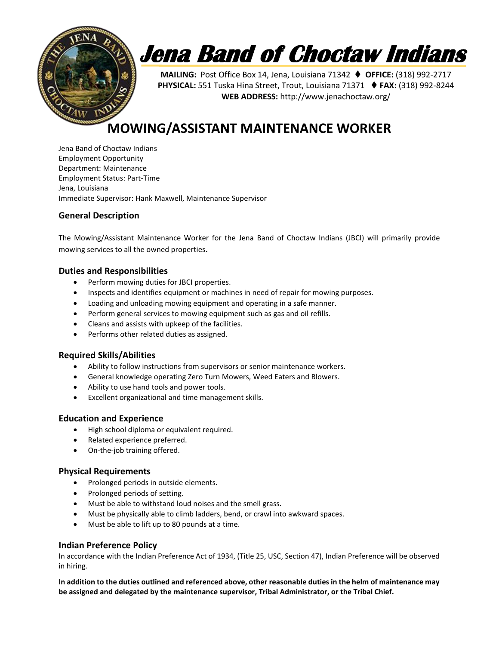

# **Jena Band of Choctaw Indians**

**MAILING:** Post Office Box 14, Jena, Louisiana 71342 **OFFICE:** (318) 992-2717 **PHYSICAL:** 551 Tuska Hina Street, Trout, Louisiana 71371 ♦ FAX: (318) 992-8244 **WEB ADDRESS:** http://www.jenachoctaw.org/

### **MOWING/ASSISTANT MAINTENANCE WORKER**

Jena Band of Choctaw Indians Employment Opportunity Department: Maintenance Employment Status: Part-Time Jena, Louisiana Immediate Supervisor: Hank Maxwell, Maintenance Supervisor

#### **General Description**

The Mowing/Assistant Maintenance Worker for the Jena Band of Choctaw Indians (JBCI) will primarily provide mowing services to all the owned properties.

#### **Duties and Responsibilities**

- Perform mowing duties for JBCI properties.
- Inspects and identifies equipment or machines in need of repair for mowing purposes.
- Loading and unloading mowing equipment and operating in a safe manner.
- Perform general services to mowing equipment such as gas and oil refills.
- Cleans and assists with upkeep of the facilities.
- Performs other related duties as assigned.

#### **Required Skills/Abilities**

- Ability to follow instructions from supervisors or senior maintenance workers.
- General knowledge operating Zero Turn Mowers, Weed Eaters and Blowers.
- Ability to use hand tools and power tools.
- Excellent organizational and time management skills.

#### **Education and Experience**

- High school diploma or equivalent required.
- Related experience preferred.
- On-the-job training offered.

#### **Physical Requirements**

- Prolonged periods in outside elements.
- Prolonged periods of setting.
- Must be able to withstand loud noises and the smell grass.
- Must be physically able to climb ladders, bend, or crawl into awkward spaces.
- Must be able to lift up to 80 pounds at a time.

#### **Indian Preference Policy**

In accordance with the Indian Preference Act of 1934, (Title 25, USC, Section 47), Indian Preference will be observed in hiring.

**In addition to the duties outlined and referenced above, other reasonable duties in the helm of maintenance may be assigned and delegated by the maintenance supervisor, Tribal Administrator, or the Tribal Chief.**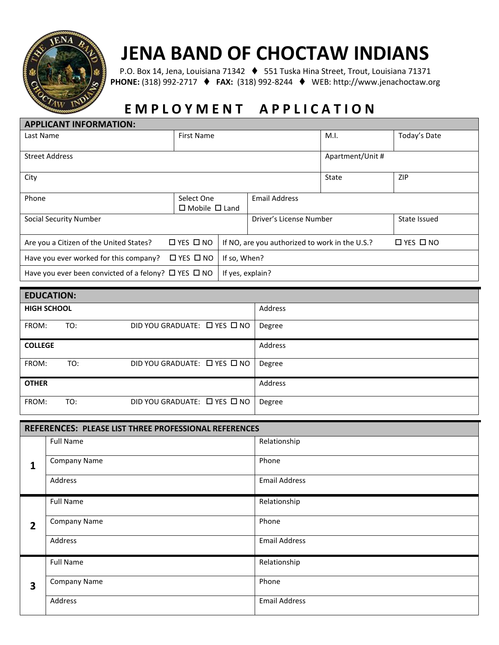

## **JENA BAND OF CHOCTAW INDIANS**

P.O. Box 14, Jena, Louisiana 71342 ♦ 551 Tuska Hina Street, Trout, Louisiana 71371 **PHONE:** (318) 992-2717 **FAX:** (318) 992-8244 WEB: http://www.jenachoctaw.org

# **E M P L O Y M E N T A P P L I C A T I O N**

| Today's Date                                                           |  |  |  |
|------------------------------------------------------------------------|--|--|--|
|                                                                        |  |  |  |
|                                                                        |  |  |  |
| Apartment/Unit #                                                       |  |  |  |
| ZIP                                                                    |  |  |  |
| <b>Email Address</b>                                                   |  |  |  |
|                                                                        |  |  |  |
| State Issued                                                           |  |  |  |
| $\Box$ YES $\Box$ NO<br>If NO, are you authorized to work in the U.S.? |  |  |  |
| If so, When?                                                           |  |  |  |
| If yes, explain?                                                       |  |  |  |
|                                                                        |  |  |  |

| <b>EDUCATION:</b>  |     |                                        |         |  |  |  |  |  |
|--------------------|-----|----------------------------------------|---------|--|--|--|--|--|
| <b>HIGH SCHOOL</b> |     |                                        | Address |  |  |  |  |  |
| FROM:              | TO: | DID YOU GRADUATE: [ YES I NO           | Degree  |  |  |  |  |  |
| <b>COLLEGE</b>     |     |                                        | Address |  |  |  |  |  |
| FROM:              | TO: | DID YOU GRADUATE: $\Box$ YES $\Box$ NO | Degree  |  |  |  |  |  |
| <b>OTHER</b>       |     |                                        | Address |  |  |  |  |  |
| FROM:              | TO: | DID YOU GRADUATE: □ YES □ NO           | Degree  |  |  |  |  |  |

| REFERENCES: PLEASE LIST THREE PROFESSIONAL REFERENCES |                     |                      |  |  |  |  |
|-------------------------------------------------------|---------------------|----------------------|--|--|--|--|
|                                                       | <b>Full Name</b>    | Relationship         |  |  |  |  |
| $\mathbf{1}$                                          | <b>Company Name</b> | Phone                |  |  |  |  |
|                                                       | Address             | <b>Email Address</b> |  |  |  |  |
| $\overline{2}$                                        | <b>Full Name</b>    | Relationship         |  |  |  |  |
|                                                       | <b>Company Name</b> | Phone                |  |  |  |  |
|                                                       | Address             | <b>Email Address</b> |  |  |  |  |
| 3                                                     | <b>Full Name</b>    | Relationship         |  |  |  |  |
|                                                       | <b>Company Name</b> | Phone                |  |  |  |  |
|                                                       | Address             | <b>Email Address</b> |  |  |  |  |